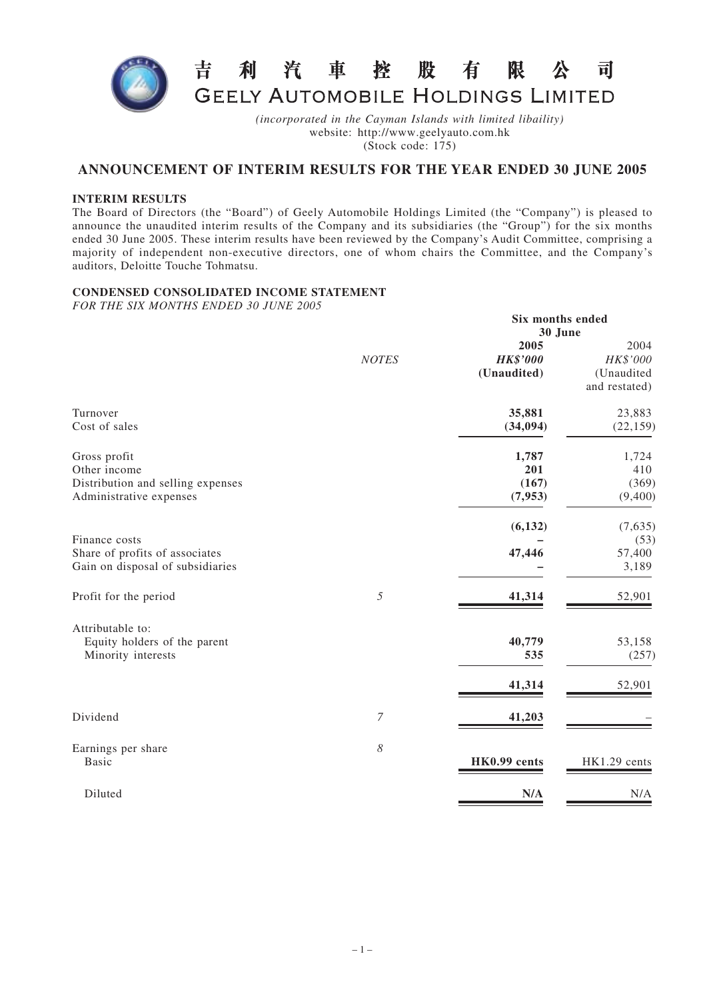

*(incorporated in the Cayman Islands with limited libaility)* website: http://www.geelyauto.com.hk (Stock code: 175)

# **ANNOUNCEMENT OF INTERIM RESULTS FOR THE YEAR ENDED 30 JUNE 2005**

## **INTERIM RESULTS**

The Board of Directors (the "Board") of Geely Automobile Holdings Limited (the "Company") is pleased to announce the unaudited interim results of the Company and its subsidiaries (the "Group") for the six months ended 30 June 2005. These interim results have been reviewed by the Company's Audit Committee, comprising a majority of independent non-executive directors, one of whom chairs the Committee, and the Company's auditors, Deloitte Touche Tohmatsu.

## **CONDENSED CONSOLIDATED INCOME STATEMENT**

*FOR THE SIX MONTHS ENDED 30 JUNE 2005*

|                                                                                              |                       | Six months ended<br>30 June            |                                                 |
|----------------------------------------------------------------------------------------------|-----------------------|----------------------------------------|-------------------------------------------------|
|                                                                                              | <b>NOTES</b>          | 2005<br><b>HK\$'000</b><br>(Unaudited) | 2004<br>HK\$'000<br>(Unaudited<br>and restated) |
| Turnover<br>Cost of sales                                                                    |                       | 35,881<br>(34, 094)                    | 23,883<br>(22, 159)                             |
| Gross profit<br>Other income<br>Distribution and selling expenses<br>Administrative expenses |                       | 1,787<br>201<br>(167)<br>(7, 953)      | 1,724<br>410<br>(369)<br>(9,400)                |
| Finance costs<br>Share of profits of associates<br>Gain on disposal of subsidiaries          |                       | (6, 132)<br>47,446                     | (7,635)<br>(53)<br>57,400<br>3,189              |
| Profit for the period                                                                        | $\sqrt{5}$            | 41,314                                 | 52,901                                          |
| Attributable to:<br>Equity holders of the parent<br>Minority interests                       |                       | 40,779<br>535<br>41,314                | 53,158<br>(257)<br>52,901                       |
| Dividend                                                                                     | $\boldsymbol{7}$      | 41,203                                 |                                                 |
| Earnings per share<br><b>Basic</b>                                                           | $\boldsymbol{\delta}$ | HK0.99 cents                           | HK1.29 cents                                    |
| Diluted                                                                                      |                       | N/A                                    | N/A                                             |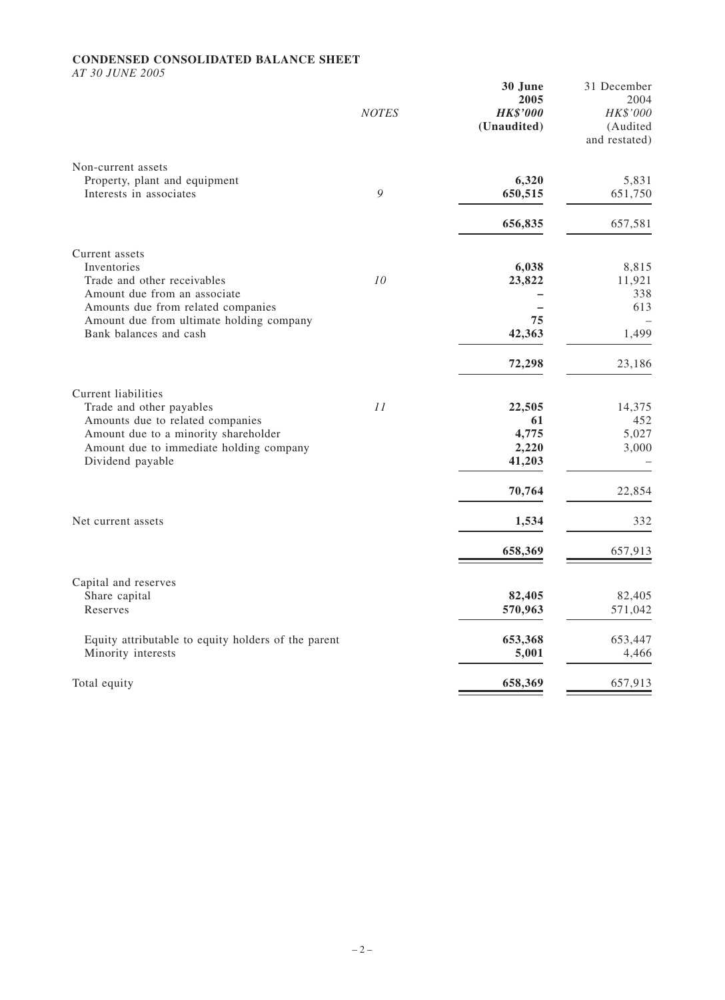# **CONDENSED CONSOLIDATED BALANCE SHEET**

*AT 30 JUNE 2005*

|                                                                                                                                                                                            | <b>NOTES</b> | 30 June<br>2005<br><b>HK\$'000</b><br>(Unaudited)  | 31 December<br>2004<br>HK\$'000<br>(Audited<br>and restated) |
|--------------------------------------------------------------------------------------------------------------------------------------------------------------------------------------------|--------------|----------------------------------------------------|--------------------------------------------------------------|
| Non-current assets<br>Property, plant and equipment<br>Interests in associates                                                                                                             | 9            | 6,320<br>650,515                                   | 5,831<br>651,750                                             |
|                                                                                                                                                                                            |              | 656,835                                            | 657,581                                                      |
| Current assets                                                                                                                                                                             |              |                                                    |                                                              |
| Inventories<br>Trade and other receivables<br>Amount due from an associate<br>Amounts due from related companies                                                                           | 10           | 6,038<br>23,822<br>75                              | 8,815<br>11,921<br>338<br>613                                |
| Amount due from ultimate holding company<br>Bank balances and cash                                                                                                                         |              | 42,363                                             | 1,499                                                        |
| Current liabilities<br>Trade and other payables<br>Amounts due to related companies<br>Amount due to a minority shareholder<br>Amount due to immediate holding company<br>Dividend payable | 11           | 72,298<br>22,505<br>61<br>4,775<br>2,220<br>41,203 | 23,186<br>14,375<br>452<br>5,027<br>3,000                    |
| Net current assets                                                                                                                                                                         |              | 70,764<br>1,534                                    | 22,854<br>332                                                |
|                                                                                                                                                                                            |              | 658,369                                            | 657,913                                                      |
| Capital and reserves<br>Share capital<br>Reserves                                                                                                                                          |              | 82,405<br>570,963                                  | 82,405<br>571,042                                            |
| Equity attributable to equity holders of the parent<br>Minority interests                                                                                                                  |              | 653,368<br>5,001                                   | 653,447<br>4,466                                             |
| Total equity                                                                                                                                                                               |              | 658,369                                            | 657,913                                                      |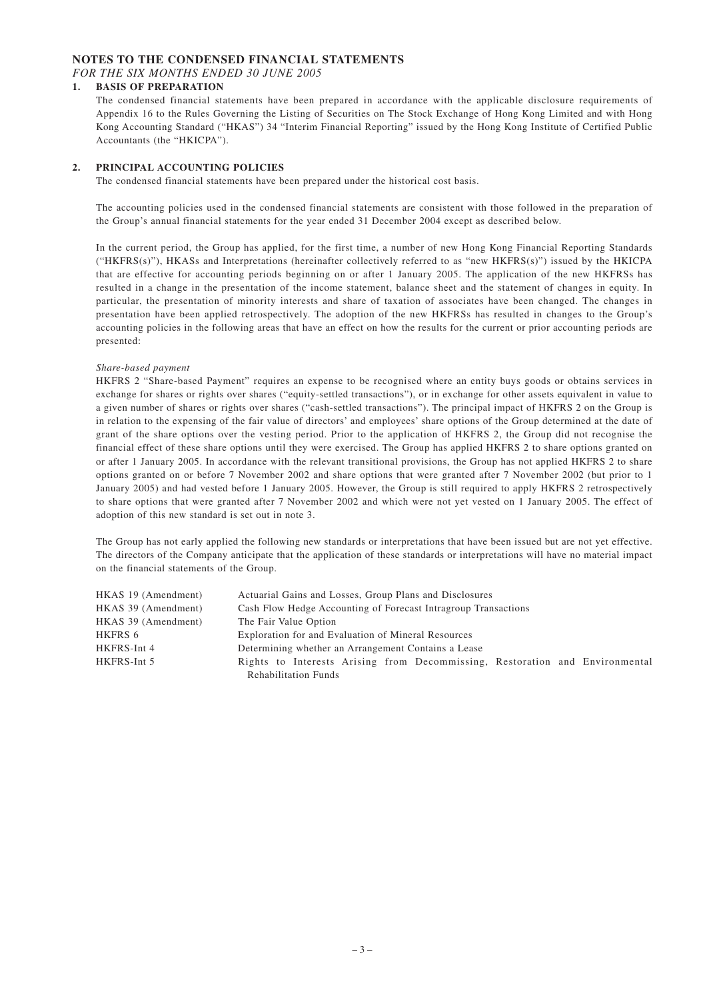### **NOTES TO THE CONDENSED FINANCIAL STATEMENTS**

*FOR THE SIX MONTHS ENDED 30 JUNE 2005*

### **1. BASIS OF PREPARATION**

The condensed financial statements have been prepared in accordance with the applicable disclosure requirements of Appendix 16 to the Rules Governing the Listing of Securities on The Stock Exchange of Hong Kong Limited and with Hong Kong Accounting Standard ("HKAS") 34 "Interim Financial Reporting" issued by the Hong Kong Institute of Certified Public Accountants (the "HKICPA").

#### **2. PRINCIPAL ACCOUNTING POLICIES**

The condensed financial statements have been prepared under the historical cost basis.

The accounting policies used in the condensed financial statements are consistent with those followed in the preparation of the Group's annual financial statements for the year ended 31 December 2004 except as described below.

In the current period, the Group has applied, for the first time, a number of new Hong Kong Financial Reporting Standards ("HKFRS(s)"), HKASs and Interpretations (hereinafter collectively referred to as "new HKFRS(s)") issued by the HKICPA that are effective for accounting periods beginning on or after 1 January 2005. The application of the new HKFRSs has resulted in a change in the presentation of the income statement, balance sheet and the statement of changes in equity. In particular, the presentation of minority interests and share of taxation of associates have been changed. The changes in presentation have been applied retrospectively. The adoption of the new HKFRSs has resulted in changes to the Group's accounting policies in the following areas that have an effect on how the results for the current or prior accounting periods are presented:

#### *Share-based payment*

HKFRS 2 "Share-based Payment" requires an expense to be recognised where an entity buys goods or obtains services in exchange for shares or rights over shares ("equity-settled transactions"), or in exchange for other assets equivalent in value to a given number of shares or rights over shares ("cash-settled transactions"). The principal impact of HKFRS 2 on the Group is in relation to the expensing of the fair value of directors' and employees' share options of the Group determined at the date of grant of the share options over the vesting period. Prior to the application of HKFRS 2, the Group did not recognise the financial effect of these share options until they were exercised. The Group has applied HKFRS 2 to share options granted on or after 1 January 2005. In accordance with the relevant transitional provisions, the Group has not applied HKFRS 2 to share options granted on or before 7 November 2002 and share options that were granted after 7 November 2002 (but prior to 1 January 2005) and had vested before 1 January 2005. However, the Group is still required to apply HKFRS 2 retrospectively to share options that were granted after 7 November 2002 and which were not yet vested on 1 January 2005. The effect of adoption of this new standard is set out in note 3.

The Group has not early applied the following new standards or interpretations that have been issued but are not yet effective. The directors of the Company anticipate that the application of these standards or interpretations will have no material impact on the financial statements of the Group.

| HKAS 19 (Amendment) | Actuarial Gains and Losses, Group Plans and Disclosures                      |  |  |
|---------------------|------------------------------------------------------------------------------|--|--|
| HKAS 39 (Amendment) | Cash Flow Hedge Accounting of Forecast Intragroup Transactions               |  |  |
| HKAS 39 (Amendment) | The Fair Value Option                                                        |  |  |
| HKFRS 6             | Exploration for and Evaluation of Mineral Resources                          |  |  |
| HKFRS-Int 4         | Determining whether an Arrangement Contains a Lease                          |  |  |
| HKFRS-Int 5         | Rights to Interests Arising from Decommissing, Restoration and Environmental |  |  |
|                     | <b>Rehabilitation Funds</b>                                                  |  |  |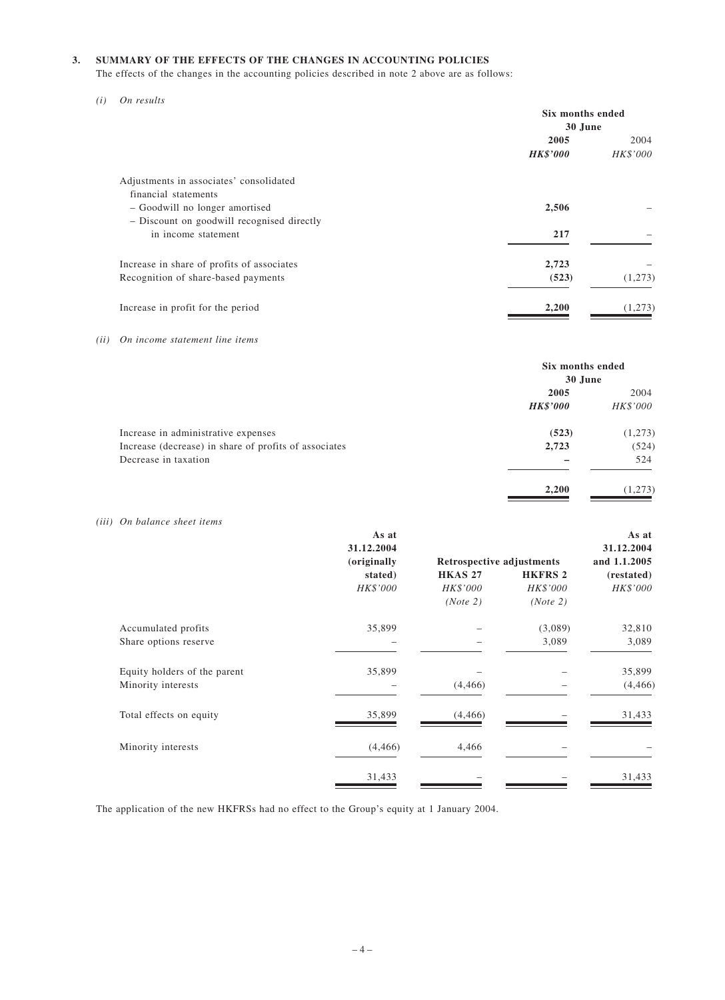#### **3. SUMMARY OF THE EFFECTS OF THE CHANGES IN ACCOUNTING POLICIES**

The effects of the changes in the accounting policies described in note 2 above are as follows:

*(i) On results*

| Six months ended |                 |
|------------------|-----------------|
| 30 June          |                 |
| 2005             | 2004            |
| <b>HK\$'000</b>  | <b>HK\$'000</b> |
|                  |                 |
|                  |                 |
| 2,506            |                 |
|                  |                 |
| 217              |                 |
| 2,723            |                 |
| (523)            | (1,273)         |
| 2,200            | (1,273)         |
|                  |                 |

*(ii) On income statement line items*

|                                                       | Six months ended<br>30 June |          |
|-------------------------------------------------------|-----------------------------|----------|
|                                                       | 2005                        | 2004     |
|                                                       | <b>HK\$'000</b>             | HK\$'000 |
| Increase in administrative expenses                   | (523)                       | (1,273)  |
| Increase (decrease) in share of profits of associates | 2,723                       | (524)    |
| Decrease in taxation                                  |                             | 524      |
|                                                       | 2,200                       | (1,273)  |

*(iii) On balance sheet items*

|                              | As at       |                           |                | As at        |
|------------------------------|-------------|---------------------------|----------------|--------------|
|                              | 31.12.2004  |                           |                | 31.12.2004   |
|                              | (originally | Retrospective adjustments |                | and 1.1.2005 |
|                              | stated)     | <b>HKAS 27</b>            | <b>HKFRS 2</b> | (restated)   |
|                              | HK\$'000    | HK\$'000                  | HK\$'000       | HK\$'000     |
|                              |             | (Note 2)                  | (Note 2)       |              |
| Accumulated profits          | 35,899      |                           | (3,089)        | 32,810       |
| Share options reserve        |             |                           | 3,089          | 3,089        |
| Equity holders of the parent | 35,899      |                           |                | 35,899       |
| Minority interests           |             | (4, 466)                  |                | (4, 466)     |
| Total effects on equity      | 35,899      | (4, 466)                  |                | 31,433       |
| Minority interests           | (4, 466)    | 4,466                     |                |              |
|                              | 31,433      |                           |                | 31,433       |

The application of the new HKFRSs had no effect to the Group's equity at 1 January 2004.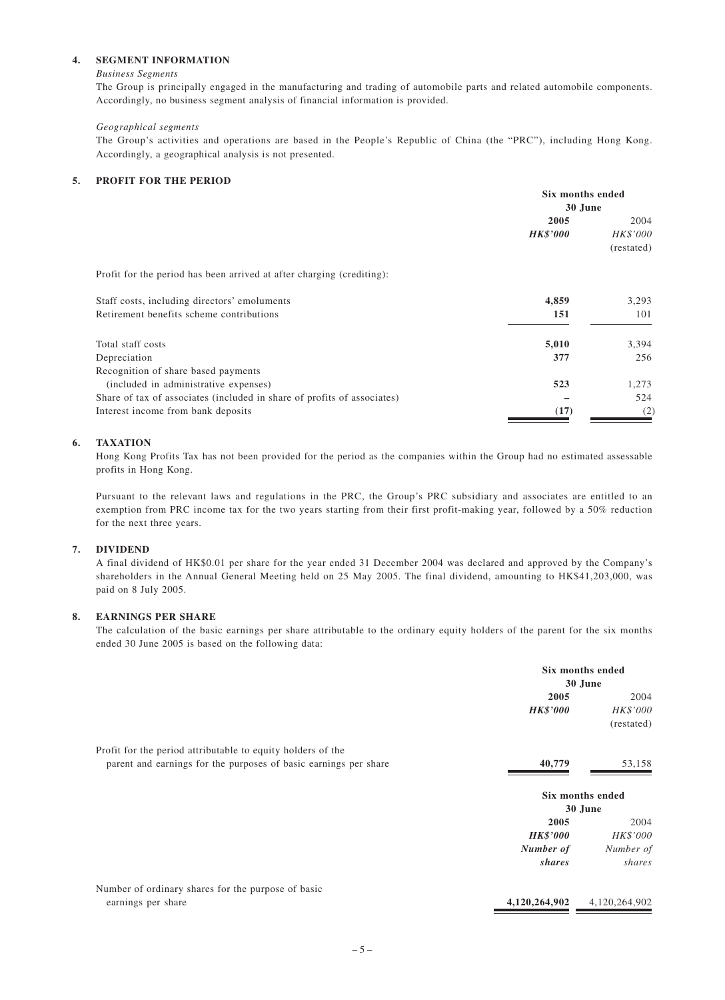#### **4. SEGMENT INFORMATION**

#### *Business Segments*

The Group is principally engaged in the manufacturing and trading of automobile parts and related automobile components. Accordingly, no business segment analysis of financial information is provided.

#### *Geographical segments*

The Group's activities and operations are based in the People's Republic of China (the "PRC"), including Hong Kong. Accordingly, a geographical analysis is not presented.

#### **5. PROFIT FOR THE PERIOD**

|                                                                         | Six months ended |            |
|-------------------------------------------------------------------------|------------------|------------|
|                                                                         | 30 June          |            |
|                                                                         | 2005             | 2004       |
|                                                                         | <b>HK\$'000</b>  | HK\$'000   |
|                                                                         |                  | (restated) |
| Profit for the period has been arrived at after charging (crediting):   |                  |            |
| Staff costs, including directors' emoluments                            | 4,859            | 3,293      |
| Retirement benefits scheme contributions                                | 151              | 101        |
| Total staff costs                                                       | 5,010            | 3,394      |
| Depreciation                                                            | 377              | 256        |
| Recognition of share based payments                                     |                  |            |
| (included in administrative expenses)                                   | 523              | 1,273      |
| Share of tax of associates (included in share of profits of associates) |                  | 524        |
| Interest income from bank deposits                                      | (17)             | (2)        |

#### **6. TAXATION**

Hong Kong Profits Tax has not been provided for the period as the companies within the Group had no estimated assessable profits in Hong Kong.

Pursuant to the relevant laws and regulations in the PRC, the Group's PRC subsidiary and associates are entitled to an exemption from PRC income tax for the two years starting from their first profit-making year, followed by a 50% reduction for the next three years.

#### **7. DIVIDEND**

A final dividend of HK\$0.01 per share for the year ended 31 December 2004 was declared and approved by the Company's shareholders in the Annual General Meeting held on 25 May 2005. The final dividend, amounting to HK\$41,203,000, was paid on 8 July 2005.

#### **8. EARNINGS PER SHARE**

The calculation of the basic earnings per share attributable to the ordinary equity holders of the parent for the six months ended 30 June 2005 is based on the following data:

|                                                                  | Six months ended<br>30 June |                  |
|------------------------------------------------------------------|-----------------------------|------------------|
|                                                                  | 2005                        | 2004             |
|                                                                  | <b>HK\$'000</b>             | HK\$'000         |
|                                                                  |                             | (restated)       |
| Profit for the period attributable to equity holders of the      |                             |                  |
| parent and earnings for the purposes of basic earnings per share | 40,779                      | 53,158           |
|                                                                  |                             | Six months ended |
|                                                                  |                             | 30 June          |
|                                                                  | 2005                        | 2004             |
|                                                                  | <b>HK\$'000</b>             | HK\$'000         |
|                                                                  | Number of                   | Number of        |
|                                                                  | shares                      | shares           |
| Number of ordinary shares for the purpose of basic               |                             |                  |
| earnings per share                                               | 4,120,264,902               | 4,120,264,902    |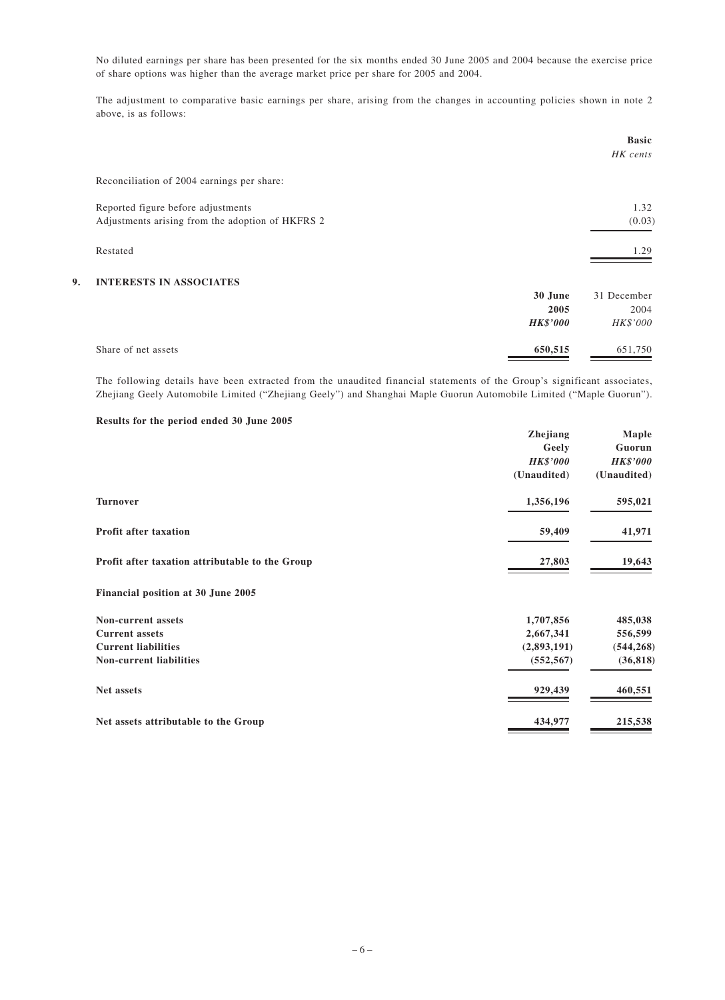No diluted earnings per share has been presented for the six months ended 30 June 2005 and 2004 because the exercise price of share options was higher than the average market price per share for 2005 and 2004.

The adjustment to comparative basic earnings per share, arising from the changes in accounting policies shown in note 2 above, is as follows:

|    |                                                  |                 | <b>Basic</b><br>HK cents |
|----|--------------------------------------------------|-----------------|--------------------------|
|    | Reconciliation of 2004 earnings per share:       |                 |                          |
|    | Reported figure before adjustments               |                 | 1.32                     |
|    | Adjustments arising from the adoption of HKFRS 2 |                 | (0.03)                   |
|    | Restated                                         |                 | 1.29                     |
| 9. | <b>INTERESTS IN ASSOCIATES</b>                   |                 |                          |
|    |                                                  | 30 June         | 31 December              |
|    |                                                  | 2005            | 2004                     |
|    |                                                  | <b>HK\$'000</b> | HK\$'000                 |
|    | Share of net assets                              | 650,515         | 651,750                  |

The following details have been extracted from the unaudited financial statements of the Group's significant associates, Zhejiang Geely Automobile Limited ("Zhejiang Geely") and Shanghai Maple Guorun Automobile Limited ("Maple Guorun").

#### **Results for the period ended 30 June 2005**

|                                                 | <b>Zhejiang</b> | Maple           |
|-------------------------------------------------|-----------------|-----------------|
|                                                 | Geely           | Guorun          |
|                                                 | <b>HK\$'000</b> | <b>HK\$'000</b> |
|                                                 | (Unaudited)     | (Unaudited)     |
| <b>Turnover</b>                                 | 1,356,196       | 595,021         |
| <b>Profit after taxation</b>                    | 59,409          | 41,971          |
| Profit after taxation attributable to the Group | 27,803          | 19,643          |
| Financial position at 30 June 2005              |                 |                 |
| Non-current assets                              | 1,707,856       | 485,038         |
| <b>Current assets</b>                           | 2,667,341       | 556,599         |
| <b>Current liabilities</b>                      | (2,893,191)     | (544, 268)      |
| <b>Non-current liabilities</b>                  | (552, 567)      | (36, 818)       |
| Net assets                                      | 929,439         | 460,551         |
| Net assets attributable to the Group            | 434,977         | 215,538         |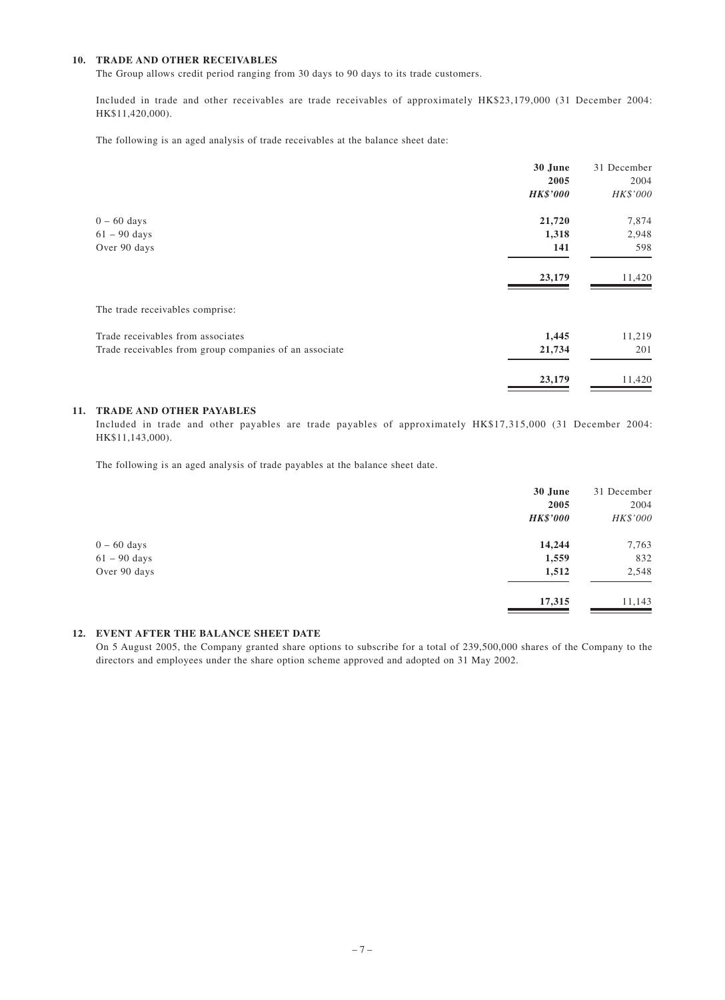#### **10. TRADE AND OTHER RECEIVABLES**

The Group allows credit period ranging from 30 days to 90 days to its trade customers.

Included in trade and other receivables are trade receivables of approximately HK\$23,179,000 (31 December 2004: HK\$11,420,000).

The following is an aged analysis of trade receivables at the balance sheet date:

|                                                        | 30 June         | 31 December |
|--------------------------------------------------------|-----------------|-------------|
|                                                        | 2005            | 2004        |
|                                                        | <b>HK\$'000</b> | HK\$'000    |
| $0 - 60$ days                                          | 21,720          | 7,874       |
| $61 - 90$ days                                         | 1,318           | 2,948       |
| Over 90 days                                           | 141             | 598         |
|                                                        | 23,179          | 11,420      |
| The trade receivables comprise:                        |                 |             |
| Trade receivables from associates                      | 1,445           | 11,219      |
| Trade receivables from group companies of an associate | 21,734          | 201         |
|                                                        | 23,179          | 11,420      |

#### **11. TRADE AND OTHER PAYABLES**

Included in trade and other payables are trade payables of approximately HK\$17,315,000 (31 December 2004: HK\$11,143,000).

The following is an aged analysis of trade payables at the balance sheet date.

|                | 30 June         | 31 December |
|----------------|-----------------|-------------|
|                | 2005            | 2004        |
|                | <b>HK\$'000</b> | HK\$'000    |
| $0 - 60$ days  | 14,244          | 7,763       |
| $61 - 90$ days | 1,559           | 832         |
| Over 90 days   | 1,512           | 2,548       |
|                | 17,315          | 11,143      |
|                |                 |             |

### **12. EVENT AFTER THE BALANCE SHEET DATE**

On 5 August 2005, the Company granted share options to subscribe for a total of 239,500,000 shares of the Company to the directors and employees under the share option scheme approved and adopted on 31 May 2002.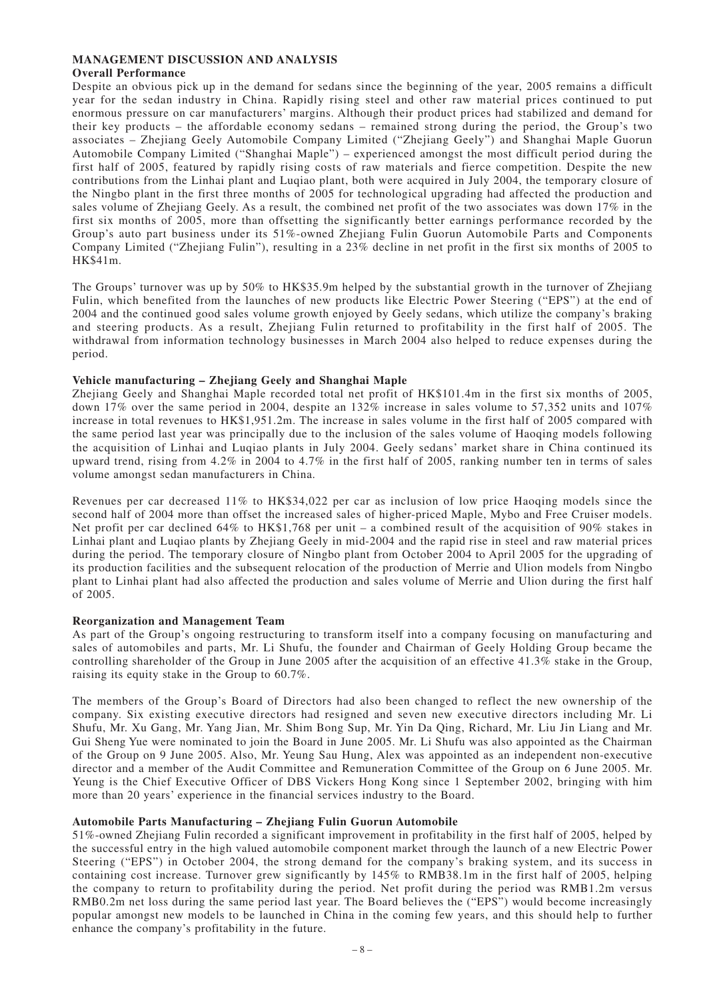#### **MANAGEMENT DISCUSSION AND ANALYSIS Overall Performance**

### Despite an obvious pick up in the demand for sedans since the beginning of the year, 2005 remains a difficult year for the sedan industry in China. Rapidly rising steel and other raw material prices continued to put enormous pressure on car manufacturers' margins. Although their product prices had stabilized and demand for their key products – the affordable economy sedans – remained strong during the period, the Group's two associates – Zhejiang Geely Automobile Company Limited ("Zhejiang Geely") and Shanghai Maple Guorun Automobile Company Limited ("Shanghai Maple") – experienced amongst the most difficult period during the first half of 2005, featured by rapidly rising costs of raw materials and fierce competition. Despite the new contributions from the Linhai plant and Luqiao plant, both were acquired in July 2004, the temporary closure of the Ningbo plant in the first three months of 2005 for technological upgrading had affected the production and sales volume of Zhejiang Geely. As a result, the combined net profit of the two associates was down 17% in the first six months of 2005, more than offsetting the significantly better earnings performance recorded by the Group's auto part business under its 51%-owned Zhejiang Fulin Guorun Automobile Parts and Components Company Limited ("Zhejiang Fulin"), resulting in a 23% decline in net profit in the first six months of 2005 to HK\$41m.

The Groups' turnover was up by 50% to HK\$35.9m helped by the substantial growth in the turnover of Zhejiang Fulin, which benefited from the launches of new products like Electric Power Steering ("EPS") at the end of 2004 and the continued good sales volume growth enjoyed by Geely sedans, which utilize the company's braking and steering products. As a result, Zhejiang Fulin returned to profitability in the first half of 2005. The withdrawal from information technology businesses in March 2004 also helped to reduce expenses during the period.

# **Vehicle manufacturing – Zhejiang Geely and Shanghai Maple**

Zhejiang Geely and Shanghai Maple recorded total net profit of HK\$101.4m in the first six months of 2005, down 17% over the same period in 2004, despite an 132% increase in sales volume to 57,352 units and 107% increase in total revenues to HK\$1,951.2m. The increase in sales volume in the first half of 2005 compared with the same period last year was principally due to the inclusion of the sales volume of Haoqing models following the acquisition of Linhai and Luqiao plants in July 2004. Geely sedans' market share in China continued its upward trend, rising from 4.2% in 2004 to 4.7% in the first half of 2005, ranking number ten in terms of sales volume amongst sedan manufacturers in China.

Revenues per car decreased 11% to HK\$34,022 per car as inclusion of low price Haoqing models since the second half of 2004 more than offset the increased sales of higher-priced Maple, Mybo and Free Cruiser models. Net profit per car declined 64% to HK\$1,768 per unit – a combined result of the acquisition of 90% stakes in Linhai plant and Luqiao plants by Zhejiang Geely in mid-2004 and the rapid rise in steel and raw material prices during the period. The temporary closure of Ningbo plant from October 2004 to April 2005 for the upgrading of its production facilities and the subsequent relocation of the production of Merrie and Ulion models from Ningbo plant to Linhai plant had also affected the production and sales volume of Merrie and Ulion during the first half of 2005.

# **Reorganization and Management Team**

As part of the Group's ongoing restructuring to transform itself into a company focusing on manufacturing and sales of automobiles and parts, Mr. Li Shufu, the founder and Chairman of Geely Holding Group became the controlling shareholder of the Group in June 2005 after the acquisition of an effective 41.3% stake in the Group, raising its equity stake in the Group to 60.7%.

The members of the Group's Board of Directors had also been changed to reflect the new ownership of the company. Six existing executive directors had resigned and seven new executive directors including Mr. Li Shufu, Mr. Xu Gang, Mr. Yang Jian, Mr. Shim Bong Sup, Mr. Yin Da Qing, Richard, Mr. Liu Jin Liang and Mr. Gui Sheng Yue were nominated to join the Board in June 2005. Mr. Li Shufu was also appointed as the Chairman of the Group on 9 June 2005. Also, Mr. Yeung Sau Hung, Alex was appointed as an independent non-executive director and a member of the Audit Committee and Remuneration Committee of the Group on 6 June 2005. Mr. Yeung is the Chief Executive Officer of DBS Vickers Hong Kong since 1 September 2002, bringing with him more than 20 years' experience in the financial services industry to the Board.

# **Automobile Parts Manufacturing – Zhejiang Fulin Guorun Automobile**

51%-owned Zhejiang Fulin recorded a significant improvement in profitability in the first half of 2005, helped by the successful entry in the high valued automobile component market through the launch of a new Electric Power Steering ("EPS") in October 2004, the strong demand for the company's braking system, and its success in containing cost increase. Turnover grew significantly by 145% to RMB38.1m in the first half of 2005, helping the company to return to profitability during the period. Net profit during the period was RMB1.2m versus RMB0.2m net loss during the same period last year. The Board believes the ("EPS") would become increasingly popular amongst new models to be launched in China in the coming few years, and this should help to further enhance the company's profitability in the future.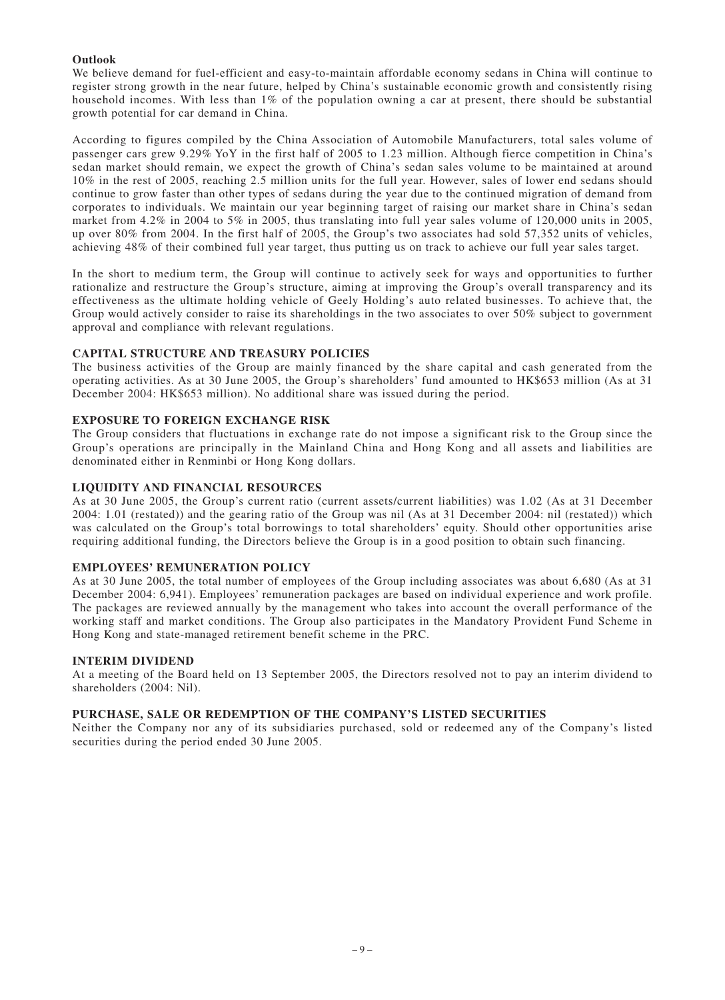# **Outlook**

We believe demand for fuel-efficient and easy-to-maintain affordable economy sedans in China will continue to register strong growth in the near future, helped by China's sustainable economic growth and consistently rising household incomes. With less than 1% of the population owning a car at present, there should be substantial growth potential for car demand in China.

According to figures compiled by the China Association of Automobile Manufacturers, total sales volume of passenger cars grew 9.29% YoY in the first half of 2005 to 1.23 million. Although fierce competition in China's sedan market should remain, we expect the growth of China's sedan sales volume to be maintained at around 10% in the rest of 2005, reaching 2.5 million units for the full year. However, sales of lower end sedans should continue to grow faster than other types of sedans during the year due to the continued migration of demand from corporates to individuals. We maintain our year beginning target of raising our market share in China's sedan market from 4.2% in 2004 to 5% in 2005, thus translating into full year sales volume of 120,000 units in 2005, up over 80% from 2004. In the first half of 2005, the Group's two associates had sold 57,352 units of vehicles, achieving 48% of their combined full year target, thus putting us on track to achieve our full year sales target.

In the short to medium term, the Group will continue to actively seek for ways and opportunities to further rationalize and restructure the Group's structure, aiming at improving the Group's overall transparency and its effectiveness as the ultimate holding vehicle of Geely Holding's auto related businesses. To achieve that, the Group would actively consider to raise its shareholdings in the two associates to over 50% subject to government approval and compliance with relevant regulations.

# **CAPITAL STRUCTURE AND TREASURY POLICIES**

The business activities of the Group are mainly financed by the share capital and cash generated from the operating activities. As at 30 June 2005, the Group's shareholders' fund amounted to HK\$653 million (As at 31 December 2004: HK\$653 million). No additional share was issued during the period.

# **EXPOSURE TO FOREIGN EXCHANGE RISK**

The Group considers that fluctuations in exchange rate do not impose a significant risk to the Group since the Group's operations are principally in the Mainland China and Hong Kong and all assets and liabilities are denominated either in Renminbi or Hong Kong dollars.

# **LIQUIDITY AND FINANCIAL RESOURCES**

As at 30 June 2005, the Group's current ratio (current assets/current liabilities) was 1.02 (As at 31 December 2004: 1.01 (restated)) and the gearing ratio of the Group was nil (As at 31 December 2004: nil (restated)) which was calculated on the Group's total borrowings to total shareholders' equity. Should other opportunities arise requiring additional funding, the Directors believe the Group is in a good position to obtain such financing.

# **EMPLOYEES' REMUNERATION POLICY**

As at 30 June 2005, the total number of employees of the Group including associates was about 6,680 (As at 31 December 2004: 6,941). Employees' remuneration packages are based on individual experience and work profile. The packages are reviewed annually by the management who takes into account the overall performance of the working staff and market conditions. The Group also participates in the Mandatory Provident Fund Scheme in Hong Kong and state-managed retirement benefit scheme in the PRC.

# **INTERIM DIVIDEND**

At a meeting of the Board held on 13 September 2005, the Directors resolved not to pay an interim dividend to shareholders (2004: Nil).

# **PURCHASE, SALE OR REDEMPTION OF THE COMPANY'S LISTED SECURITIES**

Neither the Company nor any of its subsidiaries purchased, sold or redeemed any of the Company's listed securities during the period ended 30 June 2005.